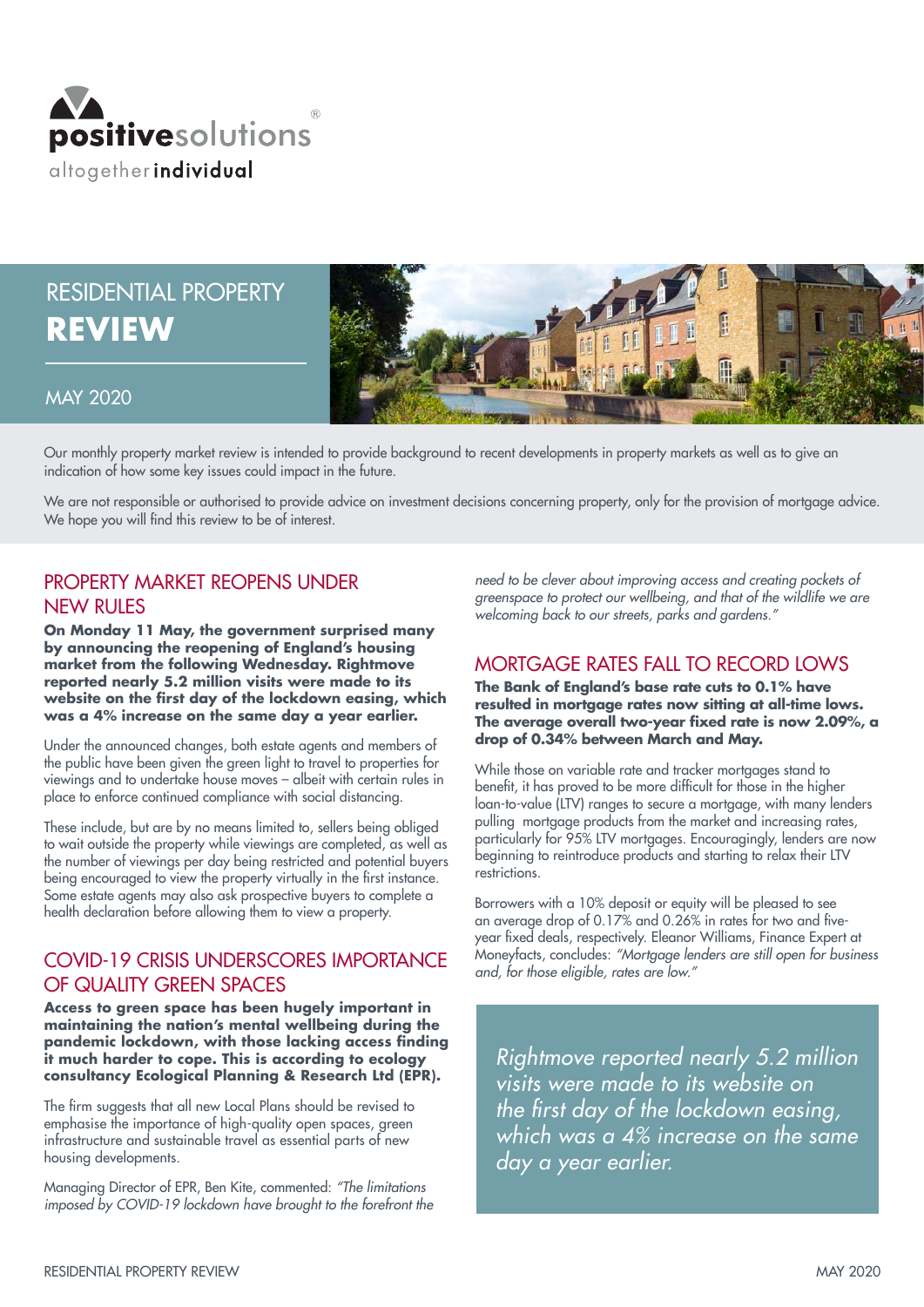

# RESIDENTIAL PROPERTY **REVIEW**



#### MAY 2020

Our monthly property market review is intended to provide background to recent developments in property markets as well as to give an indication of how some key issues could impact in the future.

We are not responsible or authorised to provide advice on investment decisions concerning property, only for the provision of mortgage advice. We hope you will find this review to be of interest.

# PROPERTY MARKET REOPENS UNDER **NEW RULES**

**On Monday 11 May, the government surprised many by announcing the reopening of England's housing market from the following Wednesday. Rightmove reported nearly 5.2 million visits were made to its website on the first day of the lockdown easing, which was a 4% increase on the same day a year earlier.** 

Under the announced changes, both estate agents and members of the public have been given the green light to travel to properties for viewings and to undertake house moves – albeit with certain rules in place to enforce continued compliance with social distancing.

These include, but are by no means limited to, sellers being obliged to wait outside the property while viewings are completed, as well as the number of viewings per day being restricted and potential buyers being encouraged to view the property virtually in the first instance. Some estate agents may also ask prospective buyers to complete a health declaration before allowing them to view a property.

#### COVID-19 CRISIS UNDERSCORES IMPORTANCE OF QUALITY GREEN SPACES

**Access to green space has been hugely important in maintaining the nation's mental wellbeing during the pandemic lockdown, with those lacking access finding it much harder to cope. This is according to ecology consultancy Ecological Planning & Research Ltd (EPR).**

The firm suggests that all new Local Plans should be revised to emphasise the importance of high-quality open spaces, green infrastructure and sustainable travel as essential parts of new housing developments.

Managing Director of EPR, Ben Kite, commented: *"The limitations imposed by COVID-19 lockdown have brought to the forefront the* 

*need to be clever about improving access and creating pockets of greenspace to protect our wellbeing, and that of the wildlife we are welcoming back to our streets, parks and gardens."*

### MORTGAGE RATES FALL TO RECORD LOWS

**The Bank of England's base rate cuts to 0.1% have resulted in mortgage rates now sitting at all-time lows. The average overall two-year fixed rate is now 2.09%, a drop of 0.34% between March and May.**

While those on variable rate and tracker mortgages stand to benefit, it has proved to be more difficult for those in the higher loan-to-value (LTV) ranges to secure a mortgage, with many lenders pulling mortgage products from the market and increasing rates, particularly for 95% LTV mortgages. Encouragingly, lenders are now beginning to reintroduce products and starting to relax their LTV restrictions.

Borrowers with a 10% deposit or equity will be pleased to see an average drop of 0.17% and 0.26% in rates for two and fiveyear fixed deals, respectively. Eleanor Williams, Finance Expert at Moneyfacts, concludes: *"Mortgage lenders are still open for business and, for those eligible, rates are low."*

*Rightmove reported nearly 5.2 million visits were made to its website on*  the first day of the lockdown easing, *which was a 4% increase on the same day a year earlier.*